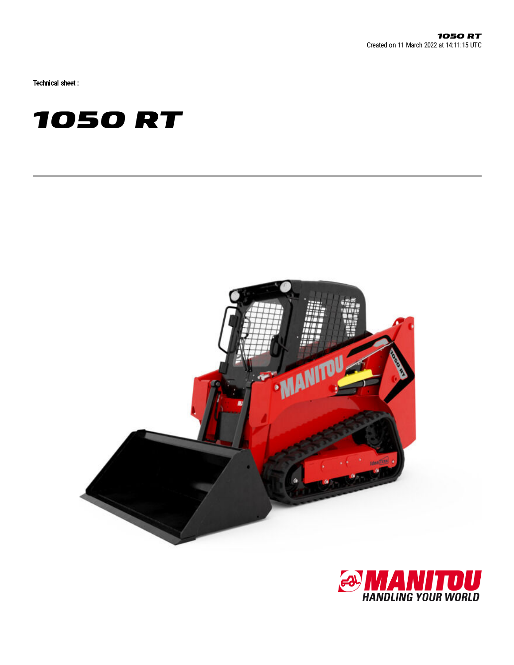Technical sheet :





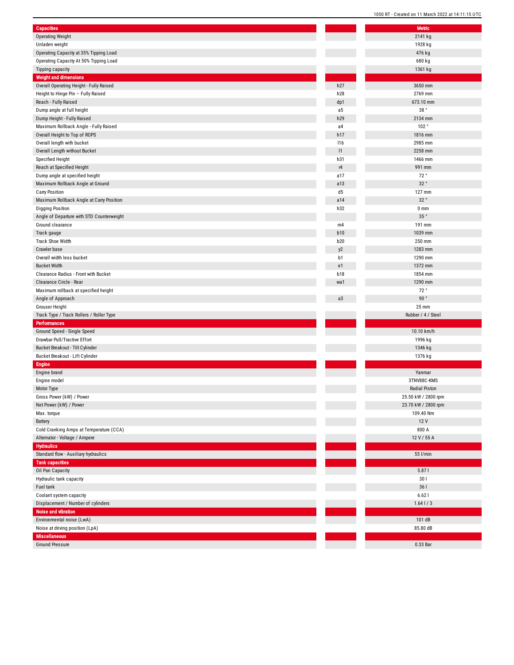| <b>Capacities</b>                         | Metric                 |  |
|-------------------------------------------|------------------------|--|
| <b>Operating Weight</b>                   | 2141 kg                |  |
| Unladen weight                            | 1928 kg                |  |
| Operating Capacity at 35% Tipping Load    | 476 kg                 |  |
| Operating Capacity At 50% Tipping Load    | 680 kg                 |  |
| Tipping capacity                          | 1361 kg                |  |
| <b>Weight and dimensions</b>              |                        |  |
| Overall Operating Height - Fully Raised   | h27<br>3650 mm         |  |
| Height to Hinge Pin - Fully Raised        | h28<br>2769 mm         |  |
| Reach - Fully Raised                      | dp1<br>673.10 mm       |  |
| Dump angle at full height                 | 38°<br>a5              |  |
| Dump Height - Fully Raised                | h29<br>2134 mm         |  |
| Maximum Rollback Angle - Fully Raised     | 102°<br>a4             |  |
| Overall Height to Top of ROPS             | h17<br>1816 mm         |  |
| Overall length with bucket                | 2985 mm<br>116         |  |
|                                           | 1<br>2258 mm           |  |
| Overall Length without Bucket             | h31<br>1466 mm         |  |
| <b>Specified Height</b>                   |                        |  |
| Reach at Specified Height                 | r4<br>991 mm           |  |
| Dump angle at specified height            | 72°<br>a17             |  |
| Maximum Rollback Angle at Ground          | 32°<br>a13             |  |
| <b>Carry Position</b>                     | d5<br>127 mm           |  |
| Maximum Rollback Angle at Carry Position  | 32°<br>a14             |  |
| <b>Digging Position</b>                   | h32<br>0 <sub>mm</sub> |  |
| Angle of Departure with STD Counterweight | $35$ $^{\circ}$        |  |
| Ground clearance                          | 191 mm<br>m4           |  |
| Track gauge                               | <b>b10</b><br>1039 mm  |  |
| Track Shoe Width                          | <b>b20</b><br>250 mm   |  |
| Crawler base                              | 1283 mm<br>y2          |  |
| Overall width less bucket                 | b1<br>1290 mm          |  |
| <b>Bucket Width</b>                       | 1372 mm<br>e1          |  |
| Clearance Radius - Front with Bucket      | <b>b18</b><br>1854 mm  |  |
| Clearance Circle - Rear                   | 1290 mm<br>wa1         |  |
| Maximum rollback at specified height      | 72°                    |  |
| Angle of Approach                         | 90°<br>a3              |  |
| Grouser Height                            | 25 mm                  |  |
| Track Type / Track Rollers / Roller Type  | Rubber / 4 / Steel     |  |
| <b>Performances</b>                       |                        |  |
| Ground Speed - Single Speed               | 10.10 km/h             |  |
| Drawbar Pull/Tractive Effort              | 1996 kg                |  |
| Bucket Breakout - Tilt Cylinder           | 1346 kg                |  |
| Bucket Breakout - Lift Cylinder           | 1376 kg                |  |
| <b>Engine</b>                             |                        |  |
|                                           | Yanmar                 |  |
| Engine brand                              |                        |  |
| Engine model                              | 3TNV88C-KMS            |  |
| Motor Type                                | <b>Radial Piston</b>   |  |
| Gross Power (kW) / Power                  | 25.50 kW / 2800 rp     |  |
| Net Power (kW) / Power                    | 23.70 kW / 2800 rp     |  |
| Max. torque                               | 109.40 Nm              |  |
| Battery                                   | 12 V                   |  |
| Cold Cranking Amps at Temperature (CCA)   | 800 A                  |  |
| Alternator - Voltage / Ampere             | 12 V / 55 A            |  |
| <b>Hydraulics</b>                         |                        |  |
| Standard flow - Auxiliary hydraulics      | 55 l/min               |  |
| <b>Tank capacities</b>                    |                        |  |
| Oil Pan Capacity                          | 5.871                  |  |
| Hydraulic tank capacity                   | 301                    |  |
| Fuel tank                                 | 361                    |  |
| Coolant system capacity                   | 6.621                  |  |
| Displacement / Number of cylinders        | $1.64$   / 3           |  |
| Noise and vibration                       |                        |  |
| Environmental noise (LwA)                 | 101 dB                 |  |
| Noise at driving position (LpA)           | 85.80 dB               |  |
| <b>Miscellaneous</b>                      |                        |  |
| <b>Ground Pressure</b>                    | 0.33 Bar               |  |
|                                           |                        |  |

| <b>Metric</b>       |
|---------------------|
| 2141 kg             |
| 1928 kg             |
| 476 kg              |
| 680 kg              |
|                     |
| 1361 kg             |
|                     |
| 3650 mm             |
| 2769 mm             |
| 673.10 mm           |
| 38 $^{\circ}$       |
| 2134 mm             |
| 102°                |
| 1816 mm             |
| 2985 mm             |
| 2258 mm             |
| 1466 mm             |
| 991 mm              |
| 72°                 |
| $32$ $^{\circ}$     |
| 127 mm              |
| 32°                 |
| 0 <sub>mm</sub>     |
| 35°                 |
| 191 mm              |
| 1039 mm             |
| 250 mm              |
| 1283 mm             |
| 1290 mm             |
| 1372 mm             |
| 1854 mm             |
| 1290 mm             |
| 72°                 |
|                     |
| $90°$               |
| 25 mm               |
| Rubber / 4 / Steel  |
|                     |
| 10.10 km/h          |
| 1996 kg             |
| 1346 kg             |
| 1376 kg             |
|                     |
| Yanmar              |
| 3TNV88C-KMS         |
| Radial Piston       |
| 25.50 kW / 2800 rpm |
| 23.70 kW / 2800 rpm |
| 109.40 Nm           |
| 12 V                |
| 800 A               |
| 12 V / 55 A         |
|                     |
| 55 l/min            |
|                     |
| 5.87                |
| 30                  |
| 36 l                |
| 6.621               |
| $1.64$   $/3$       |
|                     |
| 101 dB<br>85.80 dB  |
|                     |
| 0.33 Bar            |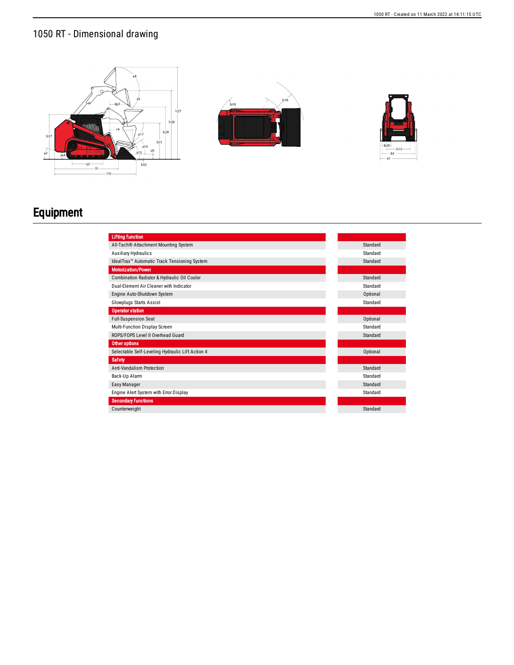





## Equipment

| <b>Lifting function</b>                                  |          |
|----------------------------------------------------------|----------|
| All-Tach® Attachment Mounting System                     | Standard |
| <b>Auxiliary Hydraulics</b>                              | Standard |
| IdealTrax <sup>™</sup> Automatic Track Tensioning System | Standard |
| <b>Motorization/Power</b>                                |          |
| Combination Radiator & Hydraulic Oil Cooler              | Standard |
| Dual-Element Air Cleaner with Indicator                  | Standard |
| Engine Auto-Shutdown System                              | Optional |
| <b>Glowplugs Starts Assist</b>                           | Standard |
| <b>Operator station</b>                                  |          |
| <b>Full-Suspension Seat</b>                              | Optional |
| Multi-Function Display Screen                            | Standard |
| ROPS/FOPS Level II Overhead Guard                        | Standard |
| Other options                                            |          |
| Selectable Self-Leveling Hydraulic Lift Action 4         | Optional |
| <b>Safety</b>                                            |          |
| <b>Anti-Vandalism Protection</b>                         | Standard |
| Back-Up Alarm                                            | Standard |
| Easy Manager                                             | Standard |
| Engine Alert System with Error Display                   | Standard |
| <b>Secondary functions</b>                               |          |
| Counterweight                                            | Standard |